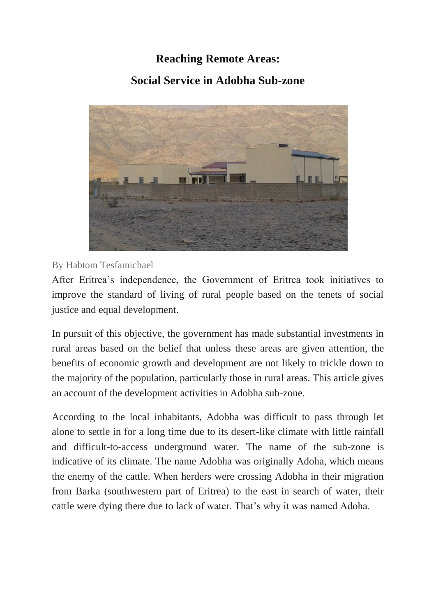## **Reaching Remote Areas:**

## **Social Service in Adobha Sub-zone**



By Habtom Tesfamichael

After Eritrea's independence, the Government of Eritrea took initiatives to improve the standard of living of rural people based on the tenets of social justice and equal development.

In pursuit of this objective, the government has made substantial investments in rural areas based on the belief that unless these areas are given attention, the benefits of economic growth and development are not likely to trickle down to the majority of the population, particularly those in rural areas. This article gives an account of the development activities in Adobha sub-zone.

According to the local inhabitants, Adobha was difficult to pass through let alone to settle in for a long time due to its desert-like climate with little rainfall and difficult-to-access underground water. The name of the sub-zone is indicative of its climate. The name Adobha was originally Adoha, which means the enemy of the cattle. When herders were crossing Adobha in their migration from Barka (southwestern part of Eritrea) to the east in search of water, their cattle were dying there due to lack of water. That's why it was named Adoha.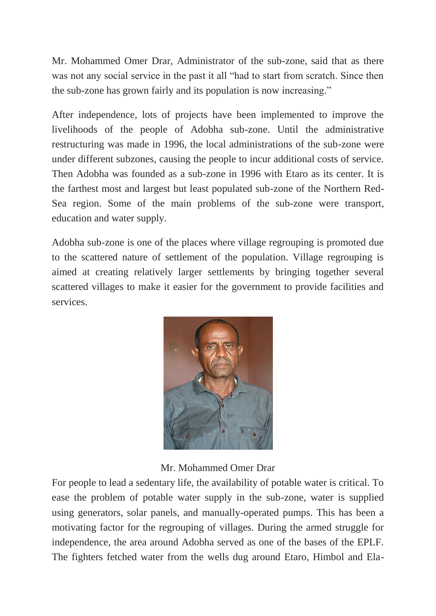Mr. Mohammed Omer Drar, Administrator of the sub-zone, said that as there was not any social service in the past it all "had to start from scratch. Since then the sub-zone has grown fairly and its population is now increasing."

After independence, lots of projects have been implemented to improve the livelihoods of the people of Adobha sub-zone. Until the administrative restructuring was made in 1996, the local administrations of the sub-zone were under different subzones, causing the people to incur additional costs of service. Then Adobha was founded as a sub-zone in 1996 with Etaro as its center. It is the farthest most and largest but least populated sub-zone of the Northern Red-Sea region. Some of the main problems of the sub-zone were transport, education and water supply.

Adobha sub-zone is one of the places where village regrouping is promoted due to the scattered nature of settlement of the population. Village regrouping is aimed at creating relatively larger settlements by bringing together several scattered villages to make it easier for the government to provide facilities and services.



Mr. Mohammed Omer Drar

For people to lead a sedentary life, the availability of potable water is critical. To ease the problem of potable water supply in the sub-zone, water is supplied using generators, solar panels, and manually-operated pumps. This has been a motivating factor for the regrouping of villages. During the armed struggle for independence, the area around Adobha served as one of the bases of the EPLF. The fighters fetched water from the wells dug around Etaro, Himbol and Ela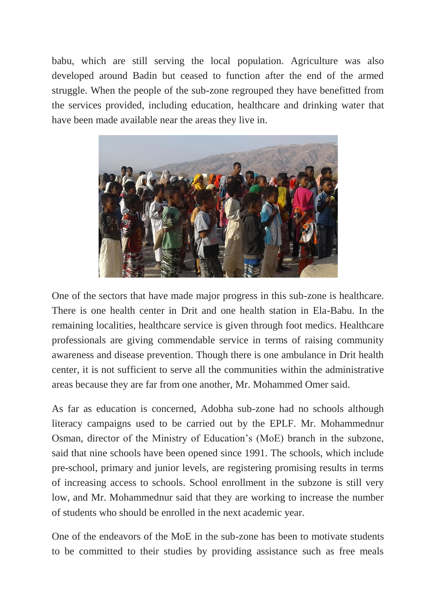babu, which are still serving the local population. Agriculture was also developed around Badin but ceased to function after the end of the armed struggle. When the people of the sub-zone regrouped they have benefitted from the services provided, including education, healthcare and drinking water that have been made available near the areas they live in.



One of the sectors that have made major progress in this sub-zone is healthcare. There is one health center in Drit and one health station in Ela-Babu. In the remaining localities, healthcare service is given through foot medics. Healthcare professionals are giving commendable service in terms of raising community awareness and disease prevention. Though there is one ambulance in Drit health center, it is not sufficient to serve all the communities within the administrative areas because they are far from one another, Mr. Mohammed Omer said.

As far as education is concerned, Adobha sub-zone had no schools although literacy campaigns used to be carried out by the EPLF. Mr. Mohammednur Osman, director of the Ministry of Education's (MoE) branch in the subzone, said that nine schools have been opened since 1991. The schools, which include pre-school, primary and junior levels, are registering promising results in terms of increasing access to schools. School enrollment in the subzone is still very low, and Mr. Mohammednur said that they are working to increase the number of students who should be enrolled in the next academic year.

One of the endeavors of the MoE in the sub-zone has been to motivate students to be committed to their studies by providing assistance such as free meals